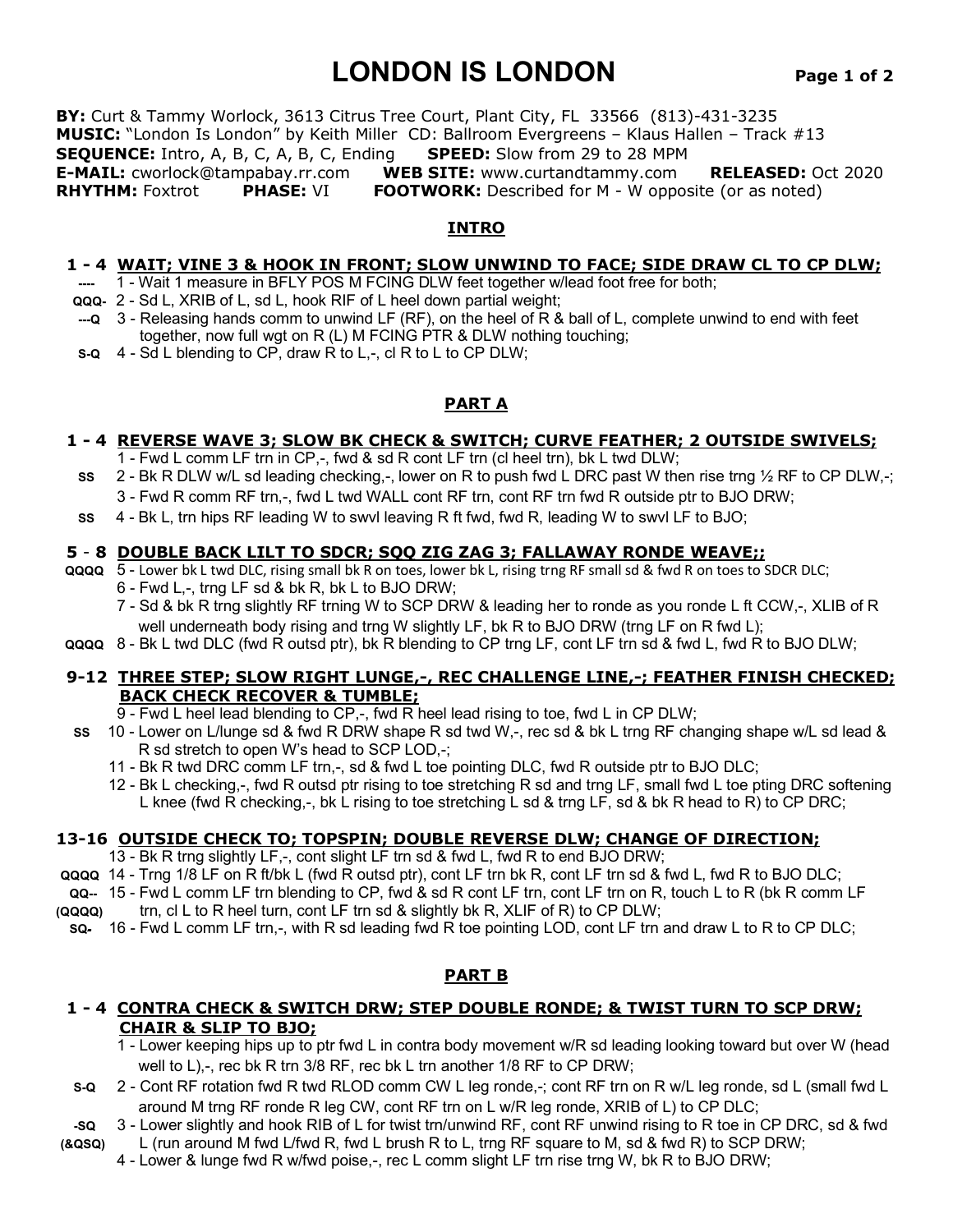# **LONDON IS LONDON Page 1 of 2**

**BY:** Curt & Tammy Worlock, 3613 Citrus Tree Court, Plant City, FL 33566 (813)-431-3235 **MUSIC:** "London Is London" by Keith Miller CD: Ballroom Evergreens – Klaus Hallen – Track #13 **SEQUENCE:** Intro, A, B, C, A, B, C, Ending **SPEED:** Slow from 29 to 28 MPM **E-MAIL:** cworlock@tampabay.rr.com **WEB SITE:** www.curtandtammy.com **RELEASED:** Oct 2020 **RHYTHM:** Foxtrot **PHASE:** VI **FOOTWORK:** Described for M - W opposite (or as noted)

## **INTRO**

## **1 - 4 WAIT; VINE 3 & HOOK IN FRONT; SLOW UNWIND TO FACE; SIDE DRAW CL TO CP DLW;**

- 1 Wait 1 measure in BFLY POS M FCING DLW feet together w/lead foot free for both;
- **QQQ-** 2 Sd L, XRIB of L, sd L, hook RIF of L heel down partial weight;
- **---Q** 3 Releasing hands comm to unwind LF (RF), on the heel of R & ball of L, complete unwind to end with feet together, now full wgt on R (L) M FCING PTR & DLW nothing touching;
- **S-Q** 4 Sd L blending to CP, draw R to L,-, cl R to L to CP DLW;

## **PART A**

# **1 - 4 REVERSE WAVE 3; SLOW BK CHECK & SWITCH; CURVE FEATHER; 2 OUTSIDE SWIVELS;**

- 1 Fwd L comm LF trn in CP,-, fwd & sd R cont LF trn (cl heel trn), bk L twd DLW;
- **SS** 2 Bk R DLW w/L sd leading checking,-, lower on R to push fwd L DRC past W then rise trng ½ RF to CP DLW,-;
	- 3 Fwd R comm RF trn,-, fwd L twd WALL cont RF trn, cont RF trn fwd R outside ptr to BJO DRW;
- **SS** 4 Bk L, trn hips RF leading W to swvl leaving R ft fwd, fwd R, leading W to swvl LF to BJO;

## **5** - **8 DOUBLE BACK LILT TO SDCR; SQQ ZIG ZAG 3; FALLAWAY RONDE WEAVE;;**

- **QQQQ** 5 Lower bk L twd DLC, rising small bk R on toes, lower bk L, rising trng RF small sd & fwd R on toes to SDCR DLC; 6 - Fwd L,-, trng LF sd & bk R, bk L to BJO DRW;
	- 7 Sd & bk R trng slightly RF trning W to SCP DRW & leading her to ronde as you ronde L ft CCW,-, XLIB of R well underneath body rising and trng W slightly LF, bk R to BJO DRW (trng LF on R fwd L);
- **QQQQ** 8 Bk L twd DLC (fwd R outsd ptr), bk R blending to CP trng LF, cont LF trn sd & fwd L, fwd R to BJO DLW;

## **9-12 THREE STEP; SLOW RIGHT LUNGE,-, REC CHALLENGE LINE,-; FEATHER FINISH CHECKED; BACK CHECK RECOVER & TUMBLE;**

- 9 Fwd L heel lead blending to CP,-, fwd R heel lead rising to toe, fwd L in CP DLW;
- **SS** 10 Lower on L/lunge sd & fwd R DRW shape R sd twd W,-, rec sd & bk L trng RF changing shape w/L sd lead & R sd stretch to open W's head to SCP LOD,-;
	- 11 Bk R twd DRC comm LF trn,-, sd & fwd L toe pointing DLC, fwd R outside ptr to BJO DLC;
	- 12 Bk L checking,-, fwd R outsd ptr rising to toe stretching R sd and trng LF, small fwd L toe pting DRC softening L knee (fwd R checking,-, bk L rising to toe stretching L sd & trng LF, sd & bk R head to R) to CP DRC;

# **13-16 OUTSIDE CHECK TO; TOPSPIN; DOUBLE REVERSE DLW; CHANGE OF DIRECTION;**

- 13 Bk R trng slightly LF,-, cont slight LF trn sd & fwd L, fwd R to end BJO DRW;
- **QQQQ** 14 Trng 1/8 LF on R ft/bk L (fwd R outsd ptr), cont LF trn bk R, cont LF trn sd & fwd L, fwd R to BJO DLC;
- **QQ--** 15 Fwd L comm LF trn blending to CP, fwd & sd R cont LF trn, cont LF trn on R, touch L to R (bk R comm LF
- **(QQQQ)** trn, cl L to R heel turn, cont LF trn sd & slightly bk R, XLIF of R) to CP DLW;
- **SQ-** 16 Fwd L comm LF trn,-, with R sd leading fwd R toe pointing LOD, cont LF trn and draw L to R to CP DLC;

# **PART B**

## **1 - 4 CONTRA CHECK & SWITCH DRW; STEP DOUBLE RONDE; & TWIST TURN TO SCP DRW; CHAIR & SLIP TO BJO;**

- 1 Lower keeping hips up to ptr fwd L in contra body movement w/R sd leading looking toward but over W (head well to L),-, rec bk R trn 3/8 RF, rec bk L trn another 1/8 RF to CP DRW;
- **S-Q** 2 Cont RF rotation fwd R twd RLOD comm CW L leg ronde,-; cont RF trn on R w/L leg ronde, sd L (small fwd L around M trng RF ronde R leg CW, cont RF trn on L w/R leg ronde, XRIB of L) to CP DLC;
- **-SQ** 3 Lower slightly and hook RIB of L for twist trn/unwind RF, cont RF unwind rising to R toe in CP DRC, sd & fwd **(&QSQ)** L (run around M fwd L/fwd R, fwd L brush R to L, trng RF square to M, sd & fwd R) to SCP DRW;
	-
	- 4 Lower & lunge fwd R w/fwd poise,-, rec L comm slight LF trn rise trng W, bk R to BJO DRW;